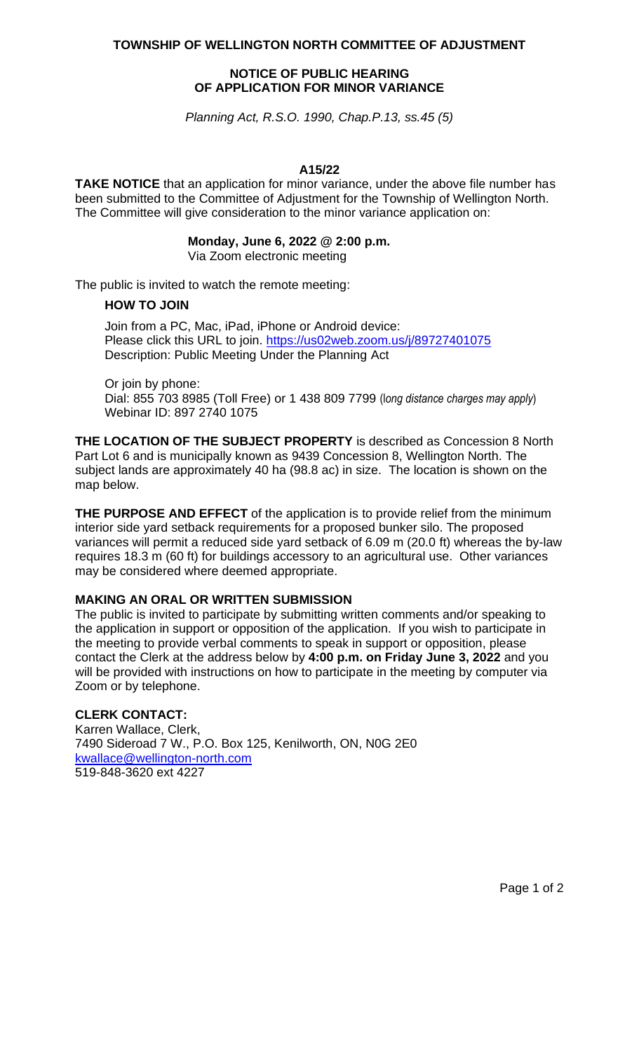**TOWNSHIP OF WELLINGTON NORTH COMMITTEE OF ADJUSTMENT**

## **NOTICE OF PUBLIC HEARING OF APPLICATION FOR MINOR VARIANCE**

*Planning Act, R.S.O. 1990, Chap.P.13, ss.45 (5)*

### **A15/22**

**TAKE NOTICE** that an application for minor variance, under the above file number has been submitted to the Committee of Adjustment for the Township of Wellington North. The Committee will give consideration to the minor variance application on:

#### **Monday, June 6, 2022 @ 2:00 p.m.** Via Zoom electronic meeting

The public is invited to watch the remote meeting:

## **HOW TO JOIN**

Join from a PC, Mac, iPad, iPhone or Android device: Please click this URL to join. <https://us02web.zoom.us/j/89727401075> Description: Public Meeting Under the Planning Act

Or join by phone:

Dial: 855 703 8985 (Toll Free) or 1 438 809 7799 (l*ong distance charges may apply*) Webinar ID: 897 2740 1075

**THE LOCATION OF THE SUBJECT PROPERTY** is described as Concession 8 North Part Lot 6 and is municipally known as 9439 Concession 8, Wellington North. The subject lands are approximately 40 ha (98.8 ac) in size. The location is shown on the map below.

**THE PURPOSE AND EFFECT** of the application is to provide relief from the minimum interior side yard setback requirements for a proposed bunker silo. The proposed variances will permit a reduced side yard setback of 6.09 m (20.0 ft) whereas the by-law requires 18.3 m (60 ft) for buildings accessory to an agricultural use. Other variances may be considered where deemed appropriate.

# **MAKING AN ORAL OR WRITTEN SUBMISSION**

The public is invited to participate by submitting written comments and/or speaking to the application in support or opposition of the application. If you wish to participate in the meeting to provide verbal comments to speak in support or opposition, please contact the Clerk at the address below by **4:00 p.m. on Friday June 3, 2022** and you will be provided with instructions on how to participate in the meeting by computer via Zoom or by telephone.

# **CLERK CONTACT:**

Karren Wallace, Clerk, 7490 Sideroad 7 W., P.O. Box 125, Kenilworth, ON, N0G 2E0 [kwallace@wellington-north.com](mailto:kwallace@wellington-north.com) 519-848-3620 ext 4227